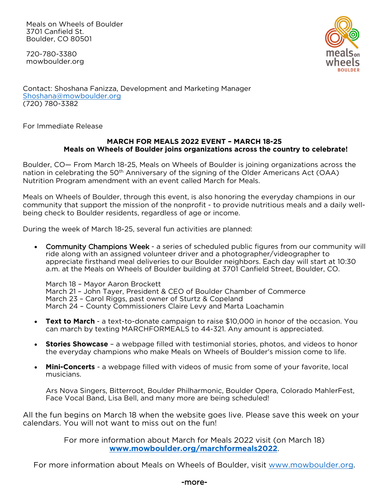Meals on Wheels of Boulder 3701 Canfield St. Boulder, CO 80501

720-780-3380 mowboulder.org



Contact: Shoshana Fanizza, Development and Marketing Manager [Shoshana@mowboulder.org](mailto:Shoshana@mowboulder.org) (720) 780-3382

For Immediate Release

## **MARCH FOR MEALS 2022 EVENT – MARCH 18-25 Meals on Wheels of Boulder joins organizations across the country to celebrate!**

Boulder, CO— From March 18-25, Meals on Wheels of Boulder is joining organizations across the nation in celebrating the 50<sup>th</sup> Anniversary of the signing of the Older Americans Act (OAA) Nutrition Program amendment with an event called March for Meals.

Meals on Wheels of Boulder, through this event, is also honoring the everyday champions in our community that support the mission of the nonprofit - to provide nutritious meals and a daily wellbeing check to Boulder residents, regardless of age or income.

During the week of March 18-25, several fun activities are planned:

• Community Champions Week - a series of scheduled public figures from our community will ride along with an assigned volunteer driver and a photographer/videographer to appreciate firsthand meal deliveries to our Boulder neighbors. Each day will start at 10:30 a.m. at the Meals on Wheels of Boulder building at 3701 Canfield Street, Boulder, CO.

March 18 – Mayor Aaron Brockett March 21 – John Tayer, President & CEO of Boulder Chamber of Commerce March 23 – Carol Riggs, past owner of Sturtz & Copeland March 24 – County Commissioners Claire Levy and Marta Loachamin

- **Text to March** a text-to-donate campaign to raise \$10,000 in honor of the occasion. You can march by texting MARCHFORMEALS to 44-321. Any amount is appreciated.
- **Stories Showcase** a webpage filled with testimonial stories, photos, and videos to honor the everyday champions who make Meals on Wheels of Boulder's mission come to life.
- **Mini-Concerts** a webpage filled with videos of music from some of your favorite, local musicians.

Ars Nova Singers, Bitterroot, Boulder Philharmonic, Boulder Opera, Colorado MahlerFest, Face Vocal Band, Lisa Bell, and many more are being scheduled!

All the fun begins on March 18 when the website goes live. Please save this week on your calendars. You will not want to miss out on the fun!

> For more information about March for Meals 2022 visit (on March 18) **[www.mowboulder.org/marchformeals2022](http://www.mowboulder.org/marchformeals2022)**.

For more information about Meals on Wheels of Boulder, visit [www.mowboulder.org.](http://www.mowboulder.org/)